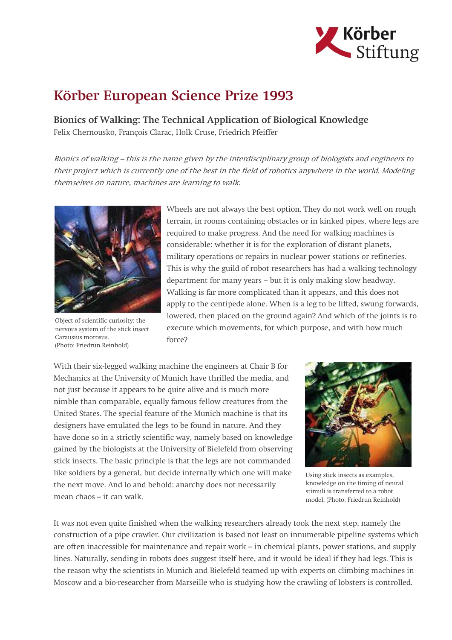

## Körber European Science Prize 1993

Bionics of Walking: The Technical Application of Biological Knowledge Felix Chernousko, François Clarac, Holk Cruse, Friedrich Pfeiffer

Bionics of walking – this is the name given by the interdisciplinary group of biologists and engineers to their project which is currently one of the best in the field of robotics anywhere in the world. Modeling themselves on nature, machines are learning to walk.



Object of scientific curiosity: the nervous system of the stick insect Carausius morosus. (Photo: Friedrun Reinhold)

Wheels are not always the best option. They do not work well on rough terrain, in rooms containing obstacles or in kinked pipes, where legs are required to make progress. And the need for walking machines is considerable: whether it is for the exploration of distant planets, military operations or repairs in nuclear power stations or refineries. This is why the guild of robot researchers has had a walking technology department for many years – but it is only making slow headway. Walking is far more complicated than it appears, and this does not apply to the centipede alone. When is a leg to be lifted, swung forwards, lowered, then placed on the ground again? And which of the joints is to execute which movements, for which purpose, and with how much force?

With their six-legged walking machine the engineers at Chair B for Mechanics at the University of Munich have thrilled the media, and not just because it appears to be quite alive and is much more nimble than comparable, equally famous fellow creatures from the United States. The special feature of the Munich machine is that its designers have emulated the legs to be found in nature. And they have done so in a strictly scientific way, namely based on knowledge gained by the biologists at the University of Bielefeld from observing stick insects. The basic principle is that the legs are not commanded like soldiers by a general, but decide internally which one will make the next move. And lo and behold: anarchy does not necessarily mean chaos – it can walk.



Using stick insects as examples, knowledge on the timing of neural stimuli is transferred to a robot model. (Photo: Friedrun Reinhold)

It was not even quite finished when the walking researchers already took the next step, namely the construction of a pipe crawler. Our civilization is based not least on innumerable pipeline systems which are often inaccessible for maintenance and repair work – in chemical plants, power stations, and supply lines. Naturally, sending in robots does suggest itself here, and it would be ideal if they had legs. This is the reason why the scientists in Munich and Bielefeld teamed up with experts on climbing machines in Moscow and a bio-researcher from Marseille who is studying how the crawling of lobsters is controlled.